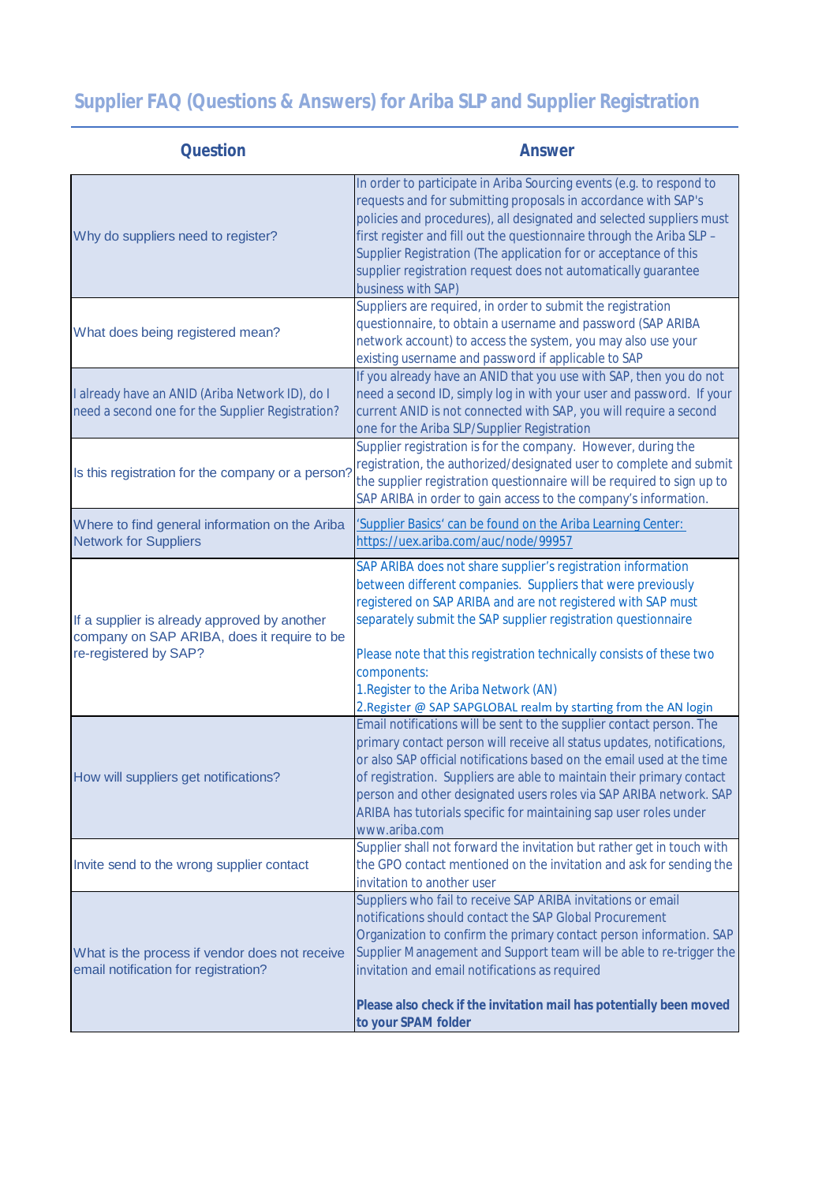## **Supplier FAQ (Questions & Answers) for Ariba SLP and Supplier Registration**

| Question                                                                                                             | Answer                                                                                                                                                                                                                                                                                                                                                                                                                                                          |
|----------------------------------------------------------------------------------------------------------------------|-----------------------------------------------------------------------------------------------------------------------------------------------------------------------------------------------------------------------------------------------------------------------------------------------------------------------------------------------------------------------------------------------------------------------------------------------------------------|
| Why do suppliers need to register?                                                                                   | In order to participate in Ariba Sourcing events (e.g. to respond to<br>requests and for submitting proposals in accordance with SAP's<br>policies and procedures), all designated and selected suppliers must<br>first register and fill out the questionnaire through the Ariba SLP -<br>Supplier Registration (The application for or acceptance of this<br>supplier registration request does not automatically guarantee<br>business with SAP)             |
| What does being registered mean?                                                                                     | Suppliers are required, in order to submit the registration<br>questionnaire, to obtain a username and password (SAP ARIBA<br>network account) to access the system, you may also use your<br>existing username and password if applicable to SAP                                                                                                                                                                                                               |
| I already have an ANID (Ariba Network ID), do I<br>need a second one for the Supplier Registration?                  | If you already have an ANID that you use with SAP, then you do not<br>need a second ID, simply log in with your user and password. If your<br>current ANID is not connected with SAP, you will require a second<br>one for the Ariba SLP/Supplier Registration                                                                                                                                                                                                  |
| Is this registration for the company or a person?                                                                    | Supplier registration is for the company. However, during the<br>registration, the authorized/designated user to complete and submit<br>the supplier registration questionnaire will be required to sign up to<br>SAP ARIBA in order to gain access to the company's information.                                                                                                                                                                               |
| Where to find general information on the Ariba<br><b>Network for Suppliers</b>                                       | 'Supplier Basics' can be found on the Ariba Learning Center:<br>https://uex.ariba.com/auc/node/99957                                                                                                                                                                                                                                                                                                                                                            |
| If a supplier is already approved by another<br>company on SAP ARIBA, does it require to be<br>re-registered by SAP? | SAP ARIBA does not share supplier's registration information<br>between different companies. Suppliers that were previously<br>registered on SAP ARIBA and are not registered with SAP must<br>separately submit the SAP supplier registration questionnaire<br>Please note that this registration technically consists of these two<br>components:<br>1. Register to the Ariba Network (AN)<br>2. Register @ SAP SAPGLOBAL realm by starting from the AN login |
| How will suppliers get notifications?                                                                                | Email notifications will be sent to the supplier contact person. The<br>primary contact person will receive all status updates, notifications,<br>or also SAP official notifications based on the email used at the time<br>of registration. Suppliers are able to maintain their primary contact<br>person and other designated users roles via SAP ARIBA network. SAP<br>ARIBA has tutorials specific for maintaining sap user roles under<br>www.ariba.com   |
| Invite send to the wrong supplier contact                                                                            | Supplier shall not forward the invitation but rather get in touch with<br>the GPO contact mentioned on the invitation and ask for sending the<br>invitation to another user                                                                                                                                                                                                                                                                                     |
| What is the process if vendor does not receive<br>email notification for registration?                               | Suppliers who fail to receive SAP ARIBA invitations or email<br>notifications should contact the SAP Global Procurement<br>Organization to confirm the primary contact person information. SAP<br>Supplier Management and Support team will be able to re-trigger the<br>invitation and email notifications as required<br>Please also check if the invitation mail has potentially been moved<br>to your SPAM folder                                           |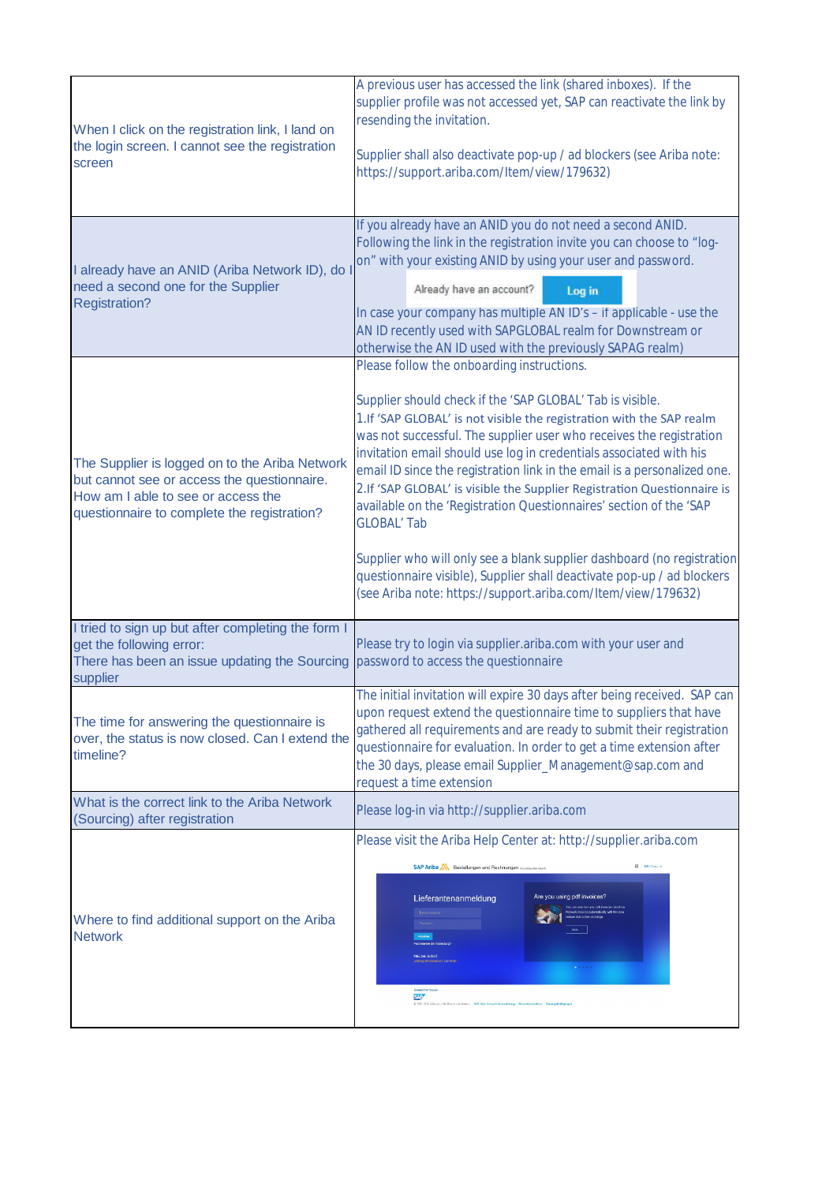| When I click on the registration link, I land on<br>the login screen. I cannot see the registration<br>screen                                                                      | A previous user has accessed the link (shared inboxes). If the<br>supplier profile was not accessed yet, SAP can reactivate the link by<br>resending the invitation.<br>Supplier shall also deactivate pop-up / ad blockers (see Ariba note:<br>https://support.ariba.com/Item/view/179632)                                                                                                                                                                                                                                                                                                                                                                                                                                                                                                         |
|------------------------------------------------------------------------------------------------------------------------------------------------------------------------------------|-----------------------------------------------------------------------------------------------------------------------------------------------------------------------------------------------------------------------------------------------------------------------------------------------------------------------------------------------------------------------------------------------------------------------------------------------------------------------------------------------------------------------------------------------------------------------------------------------------------------------------------------------------------------------------------------------------------------------------------------------------------------------------------------------------|
| I already have an ANID (Ariba Network ID), do<br>need a second one for the Supplier<br><b>Registration?</b>                                                                        | If you already have an ANID you do not need a second ANID.<br>Following the link in the registration invite you can choose to "log-<br>on" with your existing ANID by using your user and password.<br>Already have an account?<br>Log in<br>In case your company has multiple AN ID's - if applicable - use the<br>AN ID recently used with SAPGLOBAL realm for Downstream or<br>otherwise the AN ID used with the previously SAPAG realm)                                                                                                                                                                                                                                                                                                                                                         |
| The Supplier is logged on to the Ariba Network<br>but cannot see or access the questionnaire.<br>How am I able to see or access the<br>questionnaire to complete the registration? | Please follow the onboarding instructions.<br>Supplier should check if the 'SAP GLOBAL' Tab is visible.<br>1.If 'SAP GLOBAL' is not visible the registration with the SAP realm<br>was not successful. The supplier user who receives the registration<br>invitation email should use log in credentials associated with his<br>email ID since the registration link in the email is a personalized one.<br>2.If 'SAP GLOBAL' is visible the Supplier Registration Questionnaire is<br>available on the 'Registration Questionnaires' section of the 'SAP<br><b>GLOBAL' Tab</b><br>Supplier who will only see a blank supplier dashboard (no registration<br>questionnaire visible), Supplier shall deactivate pop-up / ad blockers<br>(see Ariba note: https://support.ariba.com/Item/view/179632) |
| I tried to sign up but after completing the form I<br>get the following error:<br>There has been an issue updating the Sourcing<br>supplier                                        | Please try to login via supplier.ariba.com with your user and<br>password to access the questionnaire                                                                                                                                                                                                                                                                                                                                                                                                                                                                                                                                                                                                                                                                                               |
| The time for answering the questionnaire is<br>over, the status is now closed. Can I extend the<br>timeline?                                                                       | The initial invitation will expire 30 days after being received. SAP can<br>upon request extend the questionnaire time to suppliers that have<br>gathered all requirements and are ready to submit their registration<br>questionnaire for evaluation. In order to get a time extension after<br>the 30 days, please email Supplier_Management@sap.com and<br>request a time extension                                                                                                                                                                                                                                                                                                                                                                                                              |
| What is the correct link to the Ariba Network<br>(Sourcing) after registration                                                                                                     | Please log-in via http://supplier.ariba.com                                                                                                                                                                                                                                                                                                                                                                                                                                                                                                                                                                                                                                                                                                                                                         |
| Where to find additional support on the Ariba<br><b>Network</b>                                                                                                                    | Please visit the Ariba Help Center at: http://supplier.ariba.com<br><b>III</b> Historical<br>SAP Ariba <a> Bestellungen und Rechnungen mentwiesen<br/>Are you using pdf invoices?<br/>Lieferantenanmeldung<br/>est.ce that is tree of charge<br/><b>SAP</b></a>                                                                                                                                                                                                                                                                                                                                                                                                                                                                                                                                     |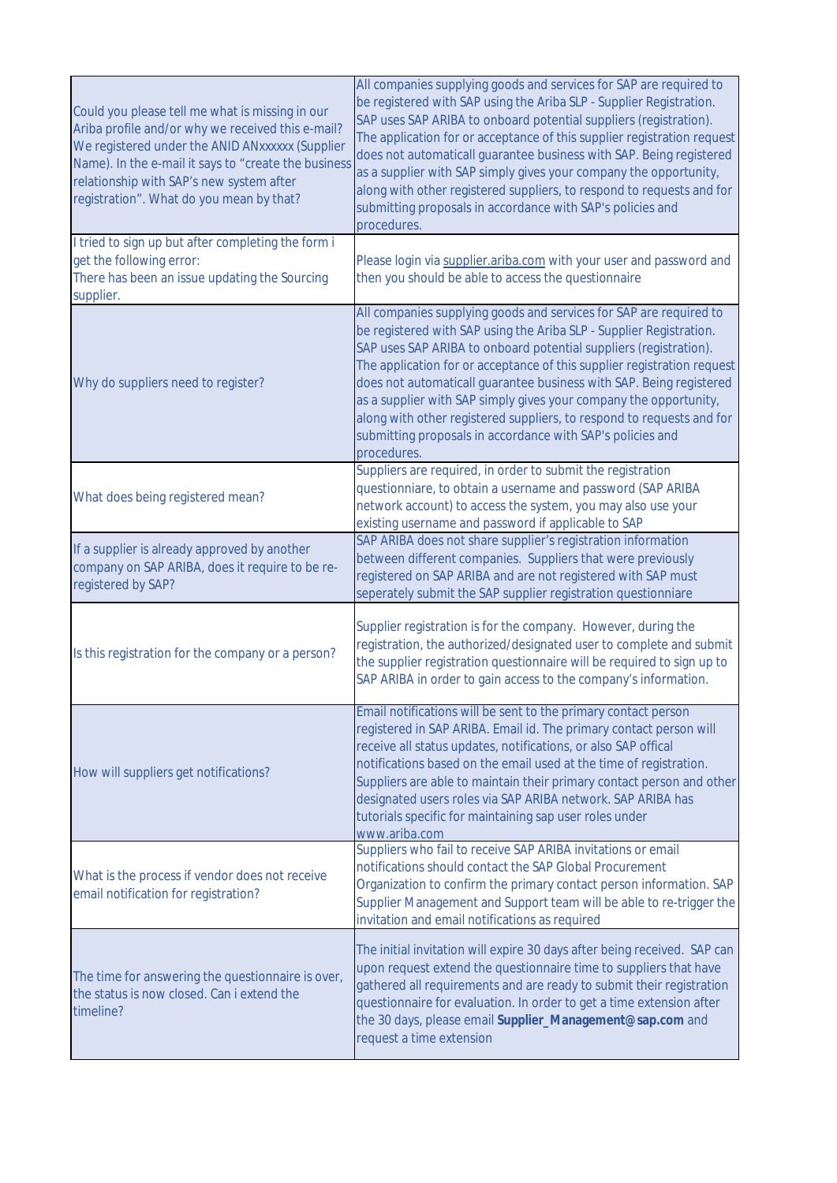| Could you please tell me what is missing in our<br>Ariba profile and/or why we received this e-mail?<br>We registered under the ANID ANxxxxxx (Supplier<br>Name). In the e-mail it says to "create the business<br>relationship with SAP's new system after<br>registration". What do you mean by that? | All companies supplying goods and services for SAP are required to<br>be registered with SAP using the Ariba SLP - Supplier Registration.<br>SAP uses SAP ARIBA to onboard potential suppliers (registration).<br>The application for or acceptance of this supplier registration request<br>does not automaticall guarantee business with SAP. Being registered<br>as a supplier with SAP simply gives your company the opportunity,<br>along with other registered suppliers, to respond to requests and for<br>submitting proposals in accordance with SAP's policies and<br>procedures. |
|---------------------------------------------------------------------------------------------------------------------------------------------------------------------------------------------------------------------------------------------------------------------------------------------------------|---------------------------------------------------------------------------------------------------------------------------------------------------------------------------------------------------------------------------------------------------------------------------------------------------------------------------------------------------------------------------------------------------------------------------------------------------------------------------------------------------------------------------------------------------------------------------------------------|
| I tried to sign up but after completing the form i<br>get the following error:<br>There has been an issue updating the Sourcing<br>supplier.                                                                                                                                                            | Please login via supplier.ariba.com with your user and password and<br>then you should be able to access the questionnaire                                                                                                                                                                                                                                                                                                                                                                                                                                                                  |
| Why do suppliers need to register?                                                                                                                                                                                                                                                                      | All companies supplying goods and services for SAP are required to<br>be registered with SAP using the Ariba SLP - Supplier Registration.<br>SAP uses SAP ARIBA to onboard potential suppliers (registration).<br>The application for or acceptance of this supplier registration request<br>does not automaticall guarantee business with SAP. Being registered<br>as a supplier with SAP simply gives your company the opportunity,<br>along with other registered suppliers, to respond to requests and for<br>submitting proposals in accordance with SAP's policies and<br>procedures. |
| What does being registered mean?                                                                                                                                                                                                                                                                        | Suppliers are required, in order to submit the registration<br>questionniare, to obtain a username and password (SAP ARIBA<br>network account) to access the system, you may also use your<br>existing username and password if applicable to SAP                                                                                                                                                                                                                                                                                                                                           |
| If a supplier is already approved by another<br>company on SAP ARIBA, does it require to be re-<br>registered by SAP?                                                                                                                                                                                   | SAP ARIBA does not share supplier's registration information<br>between different companies. Suppliers that were previously<br>registered on SAP ARIBA and are not registered with SAP must<br>seperately submit the SAP supplier registration questionniare                                                                                                                                                                                                                                                                                                                                |
| Is this registration for the company or a person?                                                                                                                                                                                                                                                       | Supplier registration is for the company. However, during the<br>registration, the authorized/designated user to complete and submit<br>the supplier registration questionnaire will be required to sign up to<br>SAP ARIBA in order to gain access to the company's information.                                                                                                                                                                                                                                                                                                           |
| How will suppliers get notifications?                                                                                                                                                                                                                                                                   | Email notifications will be sent to the primary contact person<br>registered in SAP ARIBA. Email id. The primary contact person will<br>receive all status updates, notifications, or also SAP offical<br>notifications based on the email used at the time of registration.<br>Suppliers are able to maintain their primary contact person and other<br>designated users roles via SAP ARIBA network. SAP ARIBA has<br>tutorials specific for maintaining sap user roles under<br>www.ariba.com                                                                                            |
| What is the process if vendor does not receive<br>email notification for registration?                                                                                                                                                                                                                  | Suppliers who fail to receive SAP ARIBA invitations or email<br>notifications should contact the SAP Global Procurement<br>Organization to confirm the primary contact person information. SAP<br>Supplier Management and Support team will be able to re-trigger the<br>invitation and email notifications as required                                                                                                                                                                                                                                                                     |
| The time for answering the questionnaire is over,<br>the status is now closed. Can i extend the<br>timeline?                                                                                                                                                                                            | The initial invitation will expire 30 days after being received. SAP can<br>upon request extend the questionnaire time to suppliers that have<br>gathered all requirements and are ready to submit their registration<br>questionnaire for evaluation. In order to get a time extension after<br>the 30 days, please email Supplier_Management@sap.com and<br>request a time extension                                                                                                                                                                                                      |